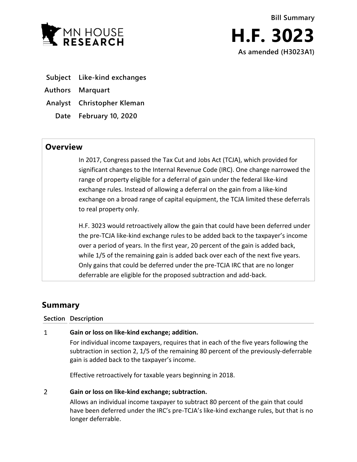

- **Subject Like-kind exchanges**
- **Authors Marquart**
- **Analyst Christopher Kleman**
	- **Date February 10, 2020**

## **Overview**

In 2017, Congress passed the Tax Cut and Jobs Act (TCJA), which provided for significant changes to the Internal Revenue Code (IRC). One change narrowed the range of property eligible for a deferral of gain under the federal like-kind exchange rules. Instead of allowing a deferral on the gain from a like-kind exchange on a broad range of capital equipment, the TCJA limited these deferrals to real property only.

H.F. 3023 would retroactively allow the gain that could have been deferred under the pre-TCJA like-kind exchange rules to be added back to the taxpayer's income over a period of years. In the first year, 20 percent of the gain is added back, while 1/5 of the remaining gain is added back over each of the next five years. Only gains that could be deferred under the pre-TCJA IRC that are no longer deferrable are eligible for the proposed subtraction and add-back.

# **Summary**

## **Section Description**

#### $\mathbf{1}$ **Gain or loss on like-kind exchange; addition.**

For individual income taxpayers, requires that in each of the five years following the subtraction in section 2, 1/5 of the remaining 80 percent of the previously-deferrable gain is added back to the taxpayer's income.

Effective retroactively for taxable years beginning in 2018.

#### $\overline{2}$ **Gain or loss on like-kind exchange; subtraction.**

Allows an individual income taxpayer to subtract 80 percent of the gain that could have been deferred under the IRC's pre-TCJA's like-kind exchange rules, but that is no longer deferrable.